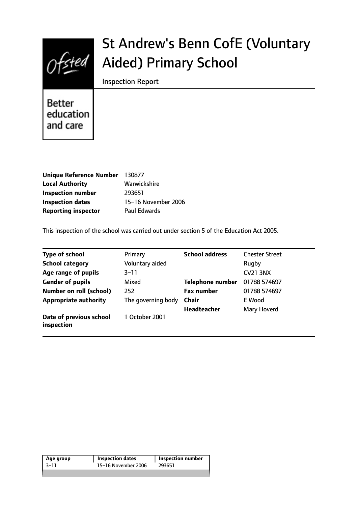

# St Andrew's Benn CofE (Voluntary Aided) Primary School

Inspection Report

**Better** education and care

| Unique Reference Number    | 130877              |
|----------------------------|---------------------|
| <b>Local Authority</b>     | Warwickshire        |
| <b>Inspection number</b>   | 293651              |
| <b>Inspection dates</b>    | 15-16 November 2006 |
| <b>Reporting inspector</b> | <b>Paul Edwards</b> |

This inspection of the school was carried out under section 5 of the Education Act 2005.

| <b>Type of school</b>                 | Primary            | <b>School address</b>   | <b>Chester Street</b> |
|---------------------------------------|--------------------|-------------------------|-----------------------|
| <b>School category</b>                | Voluntary aided    |                         | Rugby                 |
| Age range of pupils                   | $3 - 11$           |                         | <b>CV21 3NX</b>       |
| <b>Gender of pupils</b>               | Mixed              | <b>Telephone number</b> | 01788 574697          |
| <b>Number on roll (school)</b>        | 252                | <b>Fax number</b>       | 01788 574697          |
| <b>Appropriate authority</b>          | The governing body | <b>Chair</b>            | E Wood                |
|                                       |                    | <b>Headteacher</b>      | Mary Hoverd           |
| Date of previous school<br>inspection | 1 October 2001     |                         |                       |

| -3–11 | <b>Inspection number</b> | <b>Inspection dates</b> | Age group |
|-------|--------------------------|-------------------------|-----------|
|       | 293651                   | 15-16 November 2006     |           |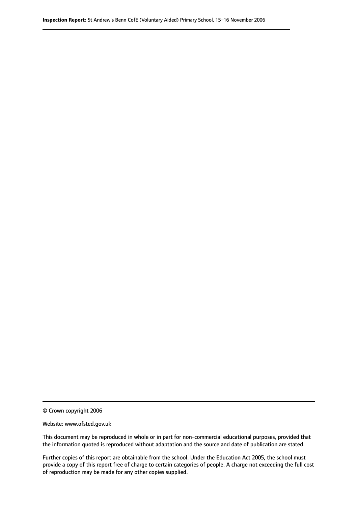© Crown copyright 2006

Website: www.ofsted.gov.uk

This document may be reproduced in whole or in part for non-commercial educational purposes, provided that the information quoted is reproduced without adaptation and the source and date of publication are stated.

Further copies of this report are obtainable from the school. Under the Education Act 2005, the school must provide a copy of this report free of charge to certain categories of people. A charge not exceeding the full cost of reproduction may be made for any other copies supplied.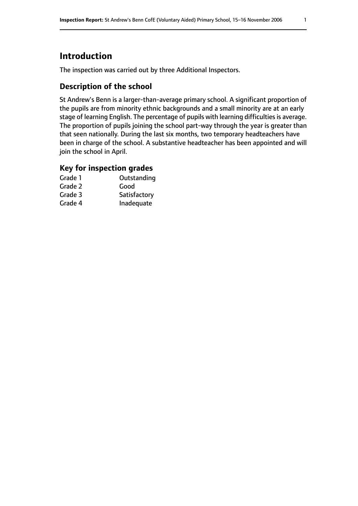# **Introduction**

The inspection was carried out by three Additional Inspectors.

# **Description of the school**

St Andrew's Benn is a larger-than-average primary school. A significant proportion of the pupils are from minority ethnic backgrounds and a small minority are at an early stage of learning English. The percentage of pupils with learning difficulties is average. The proportion of pupils joining the school part-way through the year is greater than that seen nationally. During the last six months, two temporary headteachers have been in charge of the school. A substantive headteacher has been appointed and will join the school in April.

# **Key for inspection grades**

| Grade 1 | Outstanding  |
|---------|--------------|
| Grade 2 | Good         |
| Grade 3 | Satisfactory |
| Grade 4 | Inadequate   |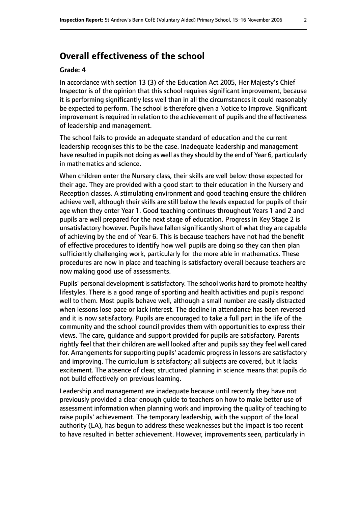# **Overall effectiveness of the school**

#### **Grade: 4**

In accordance with section 13 (3) of the Education Act 2005, Her Majesty's Chief Inspector is of the opinion that this school requires significant improvement, because it is performing significantly less well than in all the circumstances it could reasonably be expected to perform. The school is therefore given a Notice to Improve. Significant improvement is required in relation to the achievement of pupils and the effectiveness of leadership and management.

The school fails to provide an adequate standard of education and the current leadership recognises this to be the case. Inadequate leadership and management have resulted in pupils not doing as well as they should by the end of Year 6, particularly in mathematics and science.

When children enter the Nursery class, their skills are well below those expected for their age. They are provided with a good start to their education in the Nursery and Reception classes. A stimulating environment and good teaching ensure the children achieve well, although their skills are still below the levels expected for pupils of their age when they enter Year 1. Good teaching continues throughout Years 1 and 2 and pupils are well prepared for the next stage of education. Progress in Key Stage 2 is unsatisfactory however. Pupils have fallen significantly short of what they are capable of achieving by the end of Year 6. This is because teachers have not had the benefit of effective procedures to identify how well pupils are doing so they can then plan sufficiently challenging work, particularly for the more able in mathematics. These procedures are now in place and teaching is satisfactory overall because teachers are now making good use of assessments.

Pupils' personal development is satisfactory. The school works hard to promote healthy lifestyles. There is a good range of sporting and health activities and pupils respond well to them. Most pupils behave well, although a small number are easily distracted when lessons lose pace or lack interest. The decline in attendance has been reversed and it is now satisfactory. Pupils are encouraged to take a full part in the life of the community and the school council provides them with opportunities to express their views. The care, guidance and support provided for pupils are satisfactory. Parents rightly feel that their children are well looked after and pupils say they feel well cared for. Arrangements for supporting pupils' academic progress in lessons are satisfactory and improving. The curriculum is satisfactory; all subjects are covered, but it lacks excitement. The absence of clear, structured planning in science means that pupils do not build effectively on previous learning.

Leadership and management are inadequate because until recently they have not previously provided a clear enough guide to teachers on how to make better use of assessment information when planning work and improving the quality of teaching to raise pupils' achievement. The temporary leadership, with the support of the local authority (LA), has begun to address these weaknesses but the impact is too recent to have resulted in better achievement. However, improvements seen, particularly in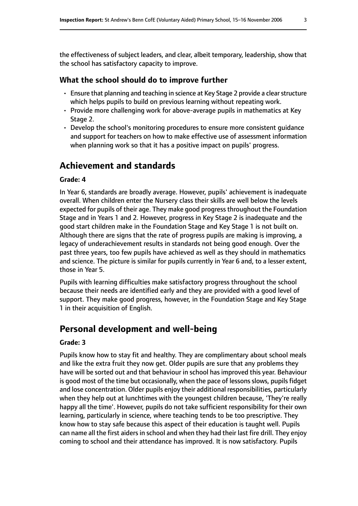the effectiveness of subject leaders, and clear, albeit temporary, leadership, show that the school has satisfactory capacity to improve.

#### **What the school should do to improve further**

- Ensure that planning and teaching in science at Key Stage 2 provide a clear structure which helps pupils to build on previous learning without repeating work.
- Provide more challenging work for above-average pupils in mathematics at Key Stage 2.
- Develop the school's monitoring procedures to ensure more consistent guidance and support for teachers on how to make effective use of assessment information when planning work so that it has a positive impact on pupils' progress.

# **Achievement and standards**

#### **Grade: 4**

In Year 6, standards are broadly average. However, pupils' achievement is inadequate overall. When children enter the Nursery class their skills are well below the levels expected for pupils of their age. They make good progress throughout the Foundation Stage and in Years 1 and 2. However, progress in Key Stage 2 is inadequate and the good start children make in the Foundation Stage and Key Stage 1 is not built on. Although there are signs that the rate of progress pupils are making is improving, a legacy of underachievement results in standards not being good enough. Over the past three years, too few pupils have achieved as well as they should in mathematics and science. The picture is similar for pupils currently in Year 6 and, to a lesser extent, those in Year 5.

Pupils with learning difficulties make satisfactory progress throughout the school because their needs are identified early and they are provided with a good level of support. They make good progress, however, in the Foundation Stage and Key Stage 1 in their acquisition of English.

# **Personal development and well-being**

#### **Grade: 3**

Pupils know how to stay fit and healthy. They are complimentary about school meals and like the extra fruit they now get. Older pupils are sure that any problems they have will be sorted out and that behaviour in school has improved this year. Behaviour is good most of the time but occasionally, when the pace of lessons slows, pupils fidget and lose concentration. Older pupils enjoy their additional responsibilities, particularly when they help out at lunchtimes with the youngest children because, 'They're really happy all the time'. However, pupils do not take sufficient responsibility for their own learning, particularly in science, where teaching tends to be too prescriptive. They know how to stay safe because this aspect of their education is taught well. Pupils can name all the first aiders in school and when they had their last fire drill. They enjoy coming to school and their attendance has improved. It is now satisfactory. Pupils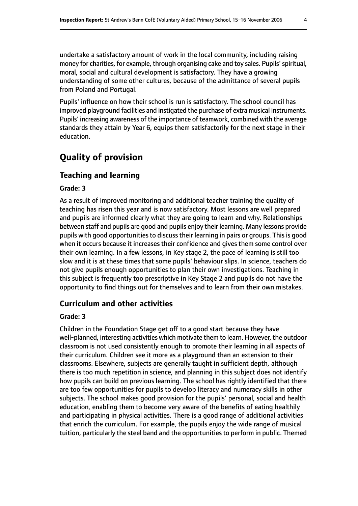undertake a satisfactory amount of work in the local community, including raising money for charities, for example, through organising cake and toy sales. Pupils' spiritual, moral, social and cultural development is satisfactory. They have a growing understanding of some other cultures, because of the admittance of several pupils from Poland and Portugal.

Pupils' influence on how their school is run is satisfactory. The school council has improved playground facilities and instigated the purchase of extra musical instruments. Pupils' increasing awareness of the importance of teamwork, combined with the average standards they attain by Year 6, equips them satisfactorily for the next stage in their education.

# **Quality of provision**

# **Teaching and learning**

#### **Grade: 3**

As a result of improved monitoring and additional teacher training the quality of teaching has risen this year and is now satisfactory. Most lessons are well prepared and pupils are informed clearly what they are going to learn and why. Relationships between staff and pupils are good and pupils enjoy their learning. Many lessons provide pupils with good opportunities to discuss their learning in pairs or groups. This is good when it occurs because it increases their confidence and gives them some control over their own learning. In a few lessons, in Key stage 2, the pace of learning is still too slow and it is at these times that some pupils' behaviour slips. In science, teachers do not give pupils enough opportunities to plan their own investigations. Teaching in this subject is frequently too prescriptive in Key Stage 2 and pupils do not have the opportunity to find things out for themselves and to learn from their own mistakes.

## **Curriculum and other activities**

#### **Grade: 3**

Children in the Foundation Stage get off to a good start because they have well-planned, interesting activities which motivate them to learn. However, the outdoor classroom is not used consistently enough to promote their learning in all aspects of their curriculum. Children see it more as a playground than an extension to their classrooms. Elsewhere, subjects are generally taught in sufficient depth, although there is too much repetition in science, and planning in this subject does not identify how pupils can build on previous learning. The school has rightly identified that there are too few opportunities for pupils to develop literacy and numeracy skills in other subjects. The school makes good provision for the pupils' personal, social and health education, enabling them to become very aware of the benefits of eating healthily and participating in physical activities. There is a good range of additional activities that enrich the curriculum. For example, the pupils enjoy the wide range of musical tuition, particularly the steel band and the opportunities to perform in public. Themed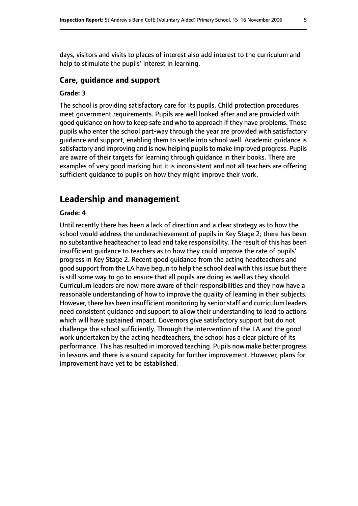days, visitors and visits to places of interest also add interest to the curriculum and help to stimulate the pupils' interest in learning.

### **Care, guidance and support**

#### **Grade: 3**

The school is providing satisfactory care for its pupils. Child protection procedures meet government requirements. Pupils are well looked after and are provided with good guidance on how to keep safe and who to approach if they have problems. Those pupils who enter the school part-way through the year are provided with satisfactory guidance and support, enabling them to settle into school well. Academic guidance is satisfactory and improving and is now helping pupils to make improved progress. Pupils are aware of their targets for learning through guidance in their books. There are examples of very good marking but it is inconsistent and not all teachers are offering sufficient guidance to pupils on how they might improve their work.

# **Leadership and management**

#### **Grade: 4**

Until recently there has been a lack of direction and a clear strategy as to how the school would address the underachievement of pupils in Key Stage 2; there has been no substantive headteacher to lead and take responsibility. The result of this has been insufficient guidance to teachers as to how they could improve the rate of pupils' progress in Key Stage 2. Recent good guidance from the acting headteachers and good support from the LA have begun to help the school deal with this issue but there is still some way to go to ensure that all pupils are doing as well as they should. Curriculum leaders are now more aware of their responsibilities and they now have a reasonable understanding of how to improve the quality of learning in their subjects. However, there has been insufficient monitoring by senior staff and curriculum leaders need consistent guidance and support to allow their understanding to lead to actions which will have sustained impact. Governors give satisfactory support but do not challenge the school sufficiently. Through the intervention of the LA and the good work undertaken by the acting headteachers, the school has a clear picture of its performance. This has resulted in improved teaching. Pupils now make better progress in lessons and there is a sound capacity for further improvement. However, plans for improvement have yet to be established.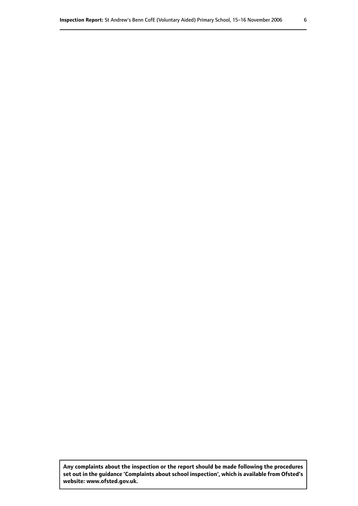**Any complaints about the inspection or the report should be made following the procedures set out inthe guidance 'Complaints about school inspection', whichis available from Ofsted's website: www.ofsted.gov.uk.**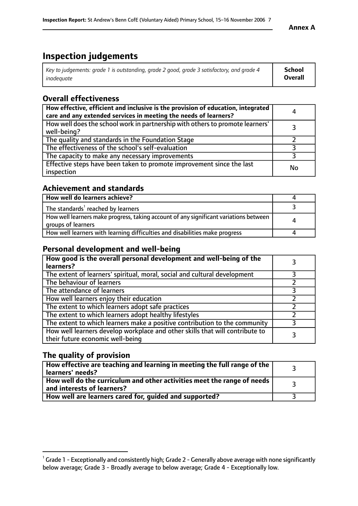# **Inspection judgements**

| Key to judgements: grade 1 is outstanding, grade 2 good, grade 3 satisfactory, and grade 4 | <b>School</b>  |
|--------------------------------------------------------------------------------------------|----------------|
| inadeauate                                                                                 | <b>Overall</b> |

# **Overall effectiveness**

| How effective, efficient and inclusive is the provision of education, integrated<br>care and any extended services in meeting the needs of learners? | 4  |
|------------------------------------------------------------------------------------------------------------------------------------------------------|----|
| How well does the school work in partnership with others to promote learners'<br>well-being?                                                         |    |
| The quality and standards in the Foundation Stage                                                                                                    |    |
| The effectiveness of the school's self-evaluation                                                                                                    |    |
| The capacity to make any necessary improvements                                                                                                      |    |
| Effective steps have been taken to promote improvement since the last<br>inspection                                                                  | No |

# **Achievement and standards**

| How well do learners achieve?                                                                               |   |
|-------------------------------------------------------------------------------------------------------------|---|
| The standards <sup>1</sup> reached by learners                                                              |   |
| How well learners make progress, taking account of any significant variations between<br>groups of learners | 4 |
| How well learners with learning difficulties and disabilities make progress                                 | 4 |

# **Personal development and well-being**

| How good is the overall personal development and well-being of the<br>learners?                                  |  |
|------------------------------------------------------------------------------------------------------------------|--|
| The extent of learners' spiritual, moral, social and cultural development                                        |  |
| The behaviour of learners                                                                                        |  |
| The attendance of learners                                                                                       |  |
| How well learners enjoy their education                                                                          |  |
| The extent to which learners adopt safe practices                                                                |  |
| The extent to which learners adopt healthy lifestyles                                                            |  |
| The extent to which learners make a positive contribution to the community                                       |  |
| How well learners develop workplace and other skills that will contribute to<br>their future economic well-being |  |

# **The quality of provision**

| How effective are teaching and learning in meeting the full range of the<br>  learners' needs?                      |  |
|---------------------------------------------------------------------------------------------------------------------|--|
| $\mid$ How well do the curriculum and other activities meet the range of needs<br>$\mid$ and interests of learners? |  |
| How well are learners cared for, quided and supported?                                                              |  |

 $^1$  Grade 1 - Exceptionally and consistently high; Grade 2 - Generally above average with none significantly below average; Grade 3 - Broadly average to below average; Grade 4 - Exceptionally low.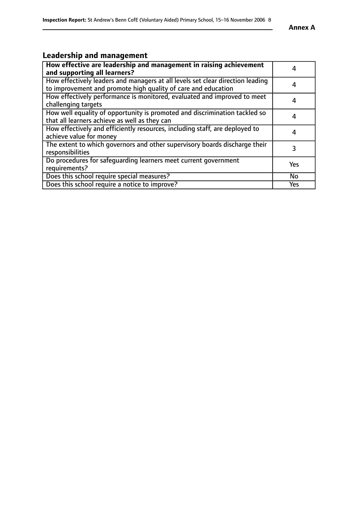# **Leadership and management**

| How effective are leadership and management in raising achievement<br>and supporting all learners?                                              |           |
|-------------------------------------------------------------------------------------------------------------------------------------------------|-----------|
| How effectively leaders and managers at all levels set clear direction leading<br>to improvement and promote high quality of care and education |           |
| How effectively performance is monitored, evaluated and improved to meet<br>challenging targets                                                 |           |
| How well equality of opportunity is promoted and discrimination tackled so<br>that all learners achieve as well as they can                     |           |
| How effectively and efficiently resources, including staff, are deployed to<br>achieve value for money                                          | 4         |
| The extent to which governors and other supervisory boards discharge their<br>responsibilities                                                  |           |
| Do procedures for safequarding learners meet current government<br>requirements?                                                                | Yes       |
| Does this school require special measures?                                                                                                      | <b>No</b> |
| Does this school require a notice to improve?                                                                                                   | Yes       |